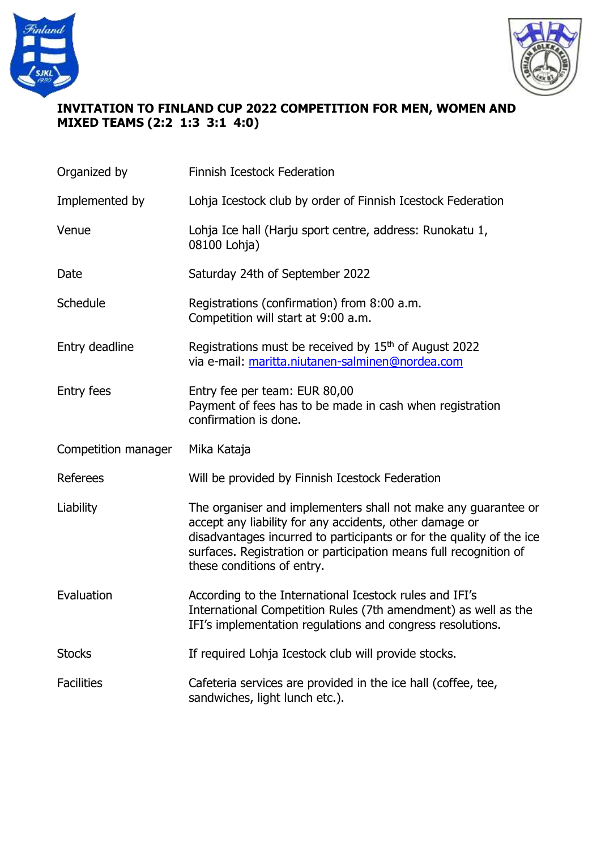



## **INVITATION TO FINLAND CUP 2022 COMPETITION FOR MEN, WOMEN AND MIXED TEAMS (2:2 1:3 3:1 4:0)**

| Organized by        | Finnish Icestock Federation                                                                                                                                                                                                                                                                          |  |
|---------------------|------------------------------------------------------------------------------------------------------------------------------------------------------------------------------------------------------------------------------------------------------------------------------------------------------|--|
| Implemented by      | Lohja Icestock club by order of Finnish Icestock Federation                                                                                                                                                                                                                                          |  |
| Venue               | Lohja Ice hall (Harju sport centre, address: Runokatu 1,<br>08100 Lohja)                                                                                                                                                                                                                             |  |
| Date                | Saturday 24th of September 2022                                                                                                                                                                                                                                                                      |  |
| Schedule            | Registrations (confirmation) from 8:00 a.m.<br>Competition will start at 9:00 a.m.                                                                                                                                                                                                                   |  |
| Entry deadline      | Registrations must be received by 15th of August 2022<br>via e-mail: maritta.niutanen-salminen@nordea.com                                                                                                                                                                                            |  |
| <b>Entry fees</b>   | Entry fee per team: EUR 80,00<br>Payment of fees has to be made in cash when registration<br>confirmation is done.                                                                                                                                                                                   |  |
| Competition manager | Mika Kataja                                                                                                                                                                                                                                                                                          |  |
| Referees            | Will be provided by Finnish Icestock Federation                                                                                                                                                                                                                                                      |  |
| Liability           | The organiser and implementers shall not make any guarantee or<br>accept any liability for any accidents, other damage or<br>disadvantages incurred to participants or for the quality of the ice<br>surfaces. Registration or participation means full recognition of<br>these conditions of entry. |  |
| Evaluation          | According to the International Icestock rules and IFI's<br>International Competition Rules (7th amendment) as well as the<br>IFI's implementation regulations and congress resolutions.                                                                                                              |  |
|                     |                                                                                                                                                                                                                                                                                                      |  |
| <b>Stocks</b>       | If required Lohja Icestock club will provide stocks.                                                                                                                                                                                                                                                 |  |